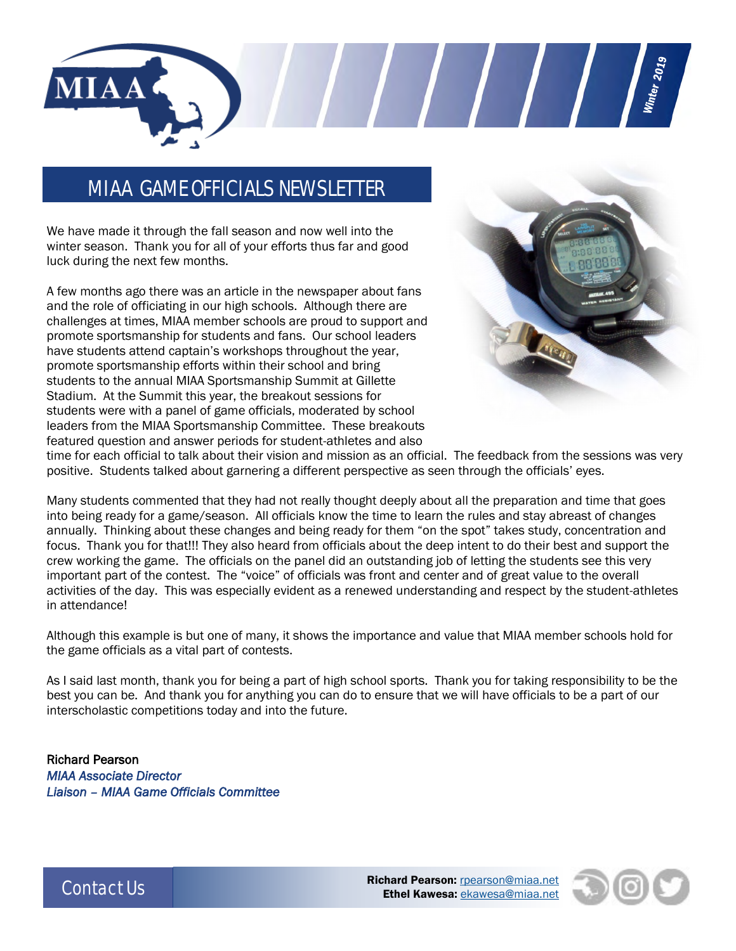

MIAA GAME OFFICIALS NEWSLETTER

We have made it through the fall season and now well into the winter season. Thank you for all of your efforts thus far and good luck during the next few months.

A few months ago there was an article in the newspaper about fans and the role of officiating in our high schools. Although there are challenges at times, MIAA member schools are proud to support and promote sportsmanship for students and fans. Our school leaders have students attend captain's workshops throughout the year, promote sportsmanship efforts within their school and bring students to the annual MIAA Sportsmanship Summit at Gillette Stadium. At the Summit this year, the breakout sessions for students were with a panel of game officials, moderated by school leaders from the MIAA Sportsmanship Committee. These breakouts featured question and answer periods for student-athletes and also



 $\left| \ \right|$ 

time for each official to talk about their vision and mission as an official. The feedback from the sessions was very positive. Students talked about garnering a different perspective as seen through the officials' eyes.

Many students commented that they had not really thought deeply about all the preparation and time that goes into being ready for a game/season. All officials know the time to learn the rules and stay abreast of changes annually. Thinking about these changes and being ready for them "on the spot" takes study, concentration and focus. Thank you for that!!! They also heard from officials about the deep intent to do their best and support the crew working the game. The officials on the panel did an outstanding job of letting the students see this very important part of the contest. The "voice" of officials was front and center and of great value to the overall activities of the day. This was especially evident as a renewed understanding and respect by the student-athletes in attendance!

Although this example is but one of many, it shows the importance and value that MIAA member schools hold for the game officials as a vital part of contests.

As I said last month, thank you for being a part of high school sports. Thank you for taking responsibility to be the best you can be. And thank you for anything you can do to ensure that we will have officials to be a part of our interscholastic competitions today and into the future.

Richard Pearson *MIAA Associate Director Liaison – MIAA Game Officials Committee* 





Contact Us **Richard Pearson:** [rpearson@miaa.net](mailto:rpearson@miaa.net) Ethel Kawesa: [ekawesa@miaa.net](mailto:ekawesa@miaa.net)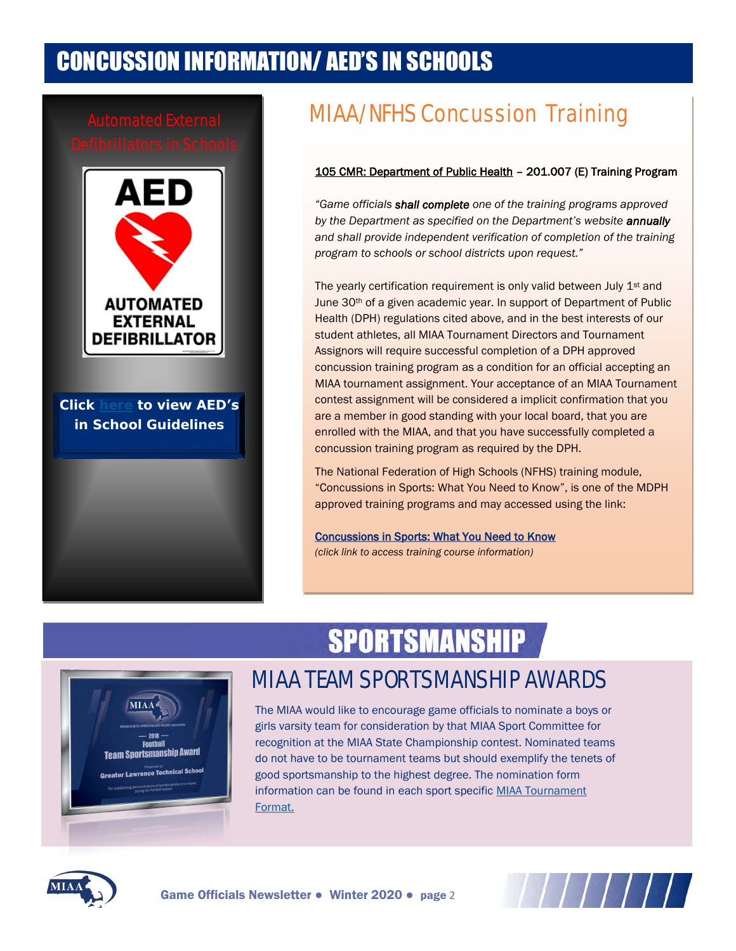### CONCUSSION INFORMATION/ AED'S IN SCHOOLS



Click [here to](http://www.miaa.net/contentm/easy_pages/view.php?sid=38&page_id=283) view AED's in **Click here to view AED's**  School Guidelines **in School Guidelin[e](http://www.miaa.net/contentm/easy_pages/view.php?sid=38&page_id=283)s**

### Automated External MIAA/NFHS Concussion Training

#### 105 CMR: Department of Public Health – 201.007 (E) Training Program

*"Game officials shall complete one of the training programs approved by the Department as specified on the Department's website annually and shall provide independent verification of completion of the training program to schools or school districts upon request."*

The yearly certification requirement is only valid between July 1<sup>st</sup> and June 30th of a given academic year. In support of Department of Public Health (DPH) regulations cited above, and in the best interests of our student athletes, all MIAA Tournament Directors and Tournament Assignors will require successful completion of a DPH approved concussion training program as a condition for an official accepting an MIAA tournament assignment. Your acceptance of an MIAA Tournament contest assignment will be considered a implicit confirmation that you are a member in good standing with your local board, that you are enrolled with the MIAA, and that you have successfully completed a concussion training program as required by the DPH.

The National Federation of High Schools (NFHS) training module, "Concussions in Sports: What You Need to Know", is one of the MDPH approved training programs and may accessed using the link:

[Concussions in Sports: What You Need to Know](https://nfhslearn.com/courses/61151/concussion-in-sports) *(click link to access training course information)*

# **SPORTSMANSHIP**



#### MIAA TEAM SPORTSMANSHIP AWARDS

The MIAA would like to encourage game officials to nominate a boys or girls varsity team for consideration by that MIAA Sport Committee for recognition at the MIAA State Championship contest. Nominated teams do not have to be tournament teams but should exemplify the tenets of good sportsmanship to the highest degree. The nomination form information can be found in each sport specific MIAA Tournament [Format.](http://www.miaa.net/contentm/easy_pages/view.php?page_id=22&sid=38&menu_id=207)



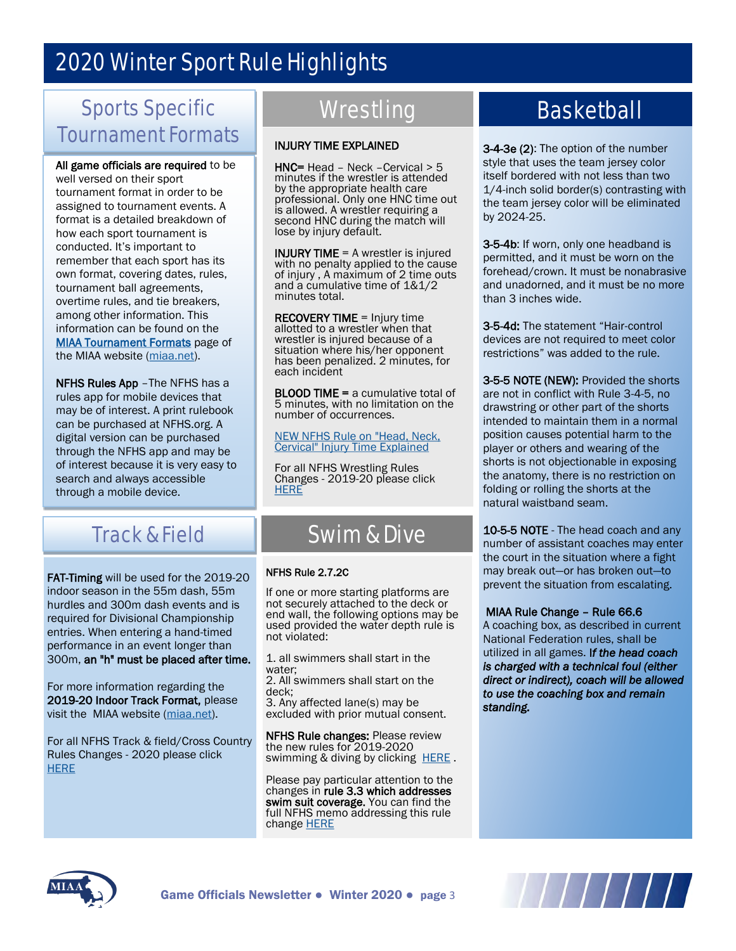### 2020 Winter Sport Rule Highlights

#### Sports Specific Tournament Formats

All game officials are required to be well versed on their sport tournament format in order to be assigned to tournament events. A format is a detailed breakdown of how each sport tournament is conducted. It's important to remember that each sport has its own format, covering dates, rules, tournament ball agreements, overtime rules, and tie breakers, among other information. This information can be found on the [MIAA Tournament Formats p](http://www.miaa.net/contentm/easy_pages/view.php?sid=38&page_id=22)age of the MIAA website [\(miaa.net\)](http://www.miaa.net/miaa/home?sid=38).

NFHS Rules App - The NFHS has a rules app for mobile devices that may be of interest. A print rulebook can be purchased at NFHS.org. A digital version can be purchased through the NFHS app and may be of interest because it is very easy to search and always accessible through a mobile device.

#### Track & Field

FAT-Timing will be used for the 2019-20 indoor season in the 55m dash, 55m hurdles and 300m dash events and is required for Divisional Championship entries. When entering a hand-timed performance in an event longer than 300m, an "h" must be placed after time.

For more information regarding the 2019-20 Indoor Track Format, please visit the MIAA website ([miaa.net\)](http://www.miaa.net/miaa/home?sid=38).

For all NFHS Track & field/Cross Country Rules Changes - 2020 please click **[HERE](https://www.nfhs.org/sports-resource-content/track-and-field-cross-country-rules-changes-2020/)** 

#### INJURY TIME EXPLAINED

HNC= Head – Neck –Cervical > 5 minutes if the wrestler is attended by the appropriate health care professional. Only one HNC time out is allowed. A wrestler requiring a second HNC during the match will lose by injury default.

INJURY TIME = A wrestler is injured with no penalty applied to the cause of injury , A maximum of 2 time outs and a cumulative time of 1&1/2 minutes total.

**RECOVERY TIME** = Injury time allotted to a wrestler when that wrestler is injured because of a situation where his/her opponent has been penalized. 2 minutes, for each incident

BLOOD TIME = a cumulative total of 5 minutes, with no limitation on the number of occurrences.

[NEW NFHS Rule on "Head, Neck,](http://www.miaa.net/test/gen/miaa_generated_bin/documents/basic_module/InjuryTimeExplainedNFHS.pdf)  [Cervical" Injury Time Explained](http://www.miaa.net/test/gen/miaa_generated_bin/documents/basic_module/InjuryTimeExplainedNFHS.pdf) 

For all NFHS Wrestling Rules Changes - 2019-20 please click **[HERE](https://www.nfhs.org/sports-resource-content/wrestling-rules-changes-2019-20/)** 

#### Swim & Dive

#### NFHS Rule 2.7.2C

If one or more starting platforms are not securely attached to the deck or end wall, the following options may be used provided the water depth rule is not violated:

1. all swimmers shall start in the water;

2. All swimmers shall start on the deck;

3. Any affected lane(s) may be excluded with prior mutual consent.

NFHS Rule changes: Please review the new rules for 2019-2020 swimming & diving by clicking [HERE](https://nfhs.org/articles/six-rules-changes-approved-in-high-school-swimming-diving/).

Please pay particular attention to the changes in rule 3.3 which addresses swim suit coverage. You can find the full NFHS memo addressing this rule change [HERE](http://miaa.net/gen/miaa_generated_bin/documents/basic_module/Swim_Suit_Guidelines_201920.pdf) 

#### Wrestling **Basketball**

3-4-3e (2): The option of the number style that uses the team jersey color itself bordered with not less than two 1/4-inch solid border(s) contrasting with the team jersey color will be eliminated by 2024-25.

3-5-4b: If worn, only one headband is permitted, and it must be worn on the forehead/crown. It must be nonabrasive and unadorned, and it must be no more than 3 inches wide.

3-5-4d: The statement "Hair-control devices are not required to meet color restrictions" was added to the rule.

3-5-5 NOTE (NEW): Provided the shorts are not in conflict with Rule 3-4-5, no drawstring or other part of the shorts intended to maintain them in a normal position causes potential harm to the player or others and wearing of the shorts is not objectionable in exposing the anatomy, there is no restriction on folding or rolling the shorts at the natural waistband seam.

10-5-5 NOTE - The head coach and any number of assistant coaches may enter the court in the situation where a fight may break out—or has broken out—to prevent the situation from escalating.

MIAA Rule Change – Rule 66.6 A coaching box, as described in current National Federation rules, shall be utilized in all games. I*f the head coach is charged with a technical foul (either direct or indirect), coach will be allowed to use the coaching box and remain standing.* 



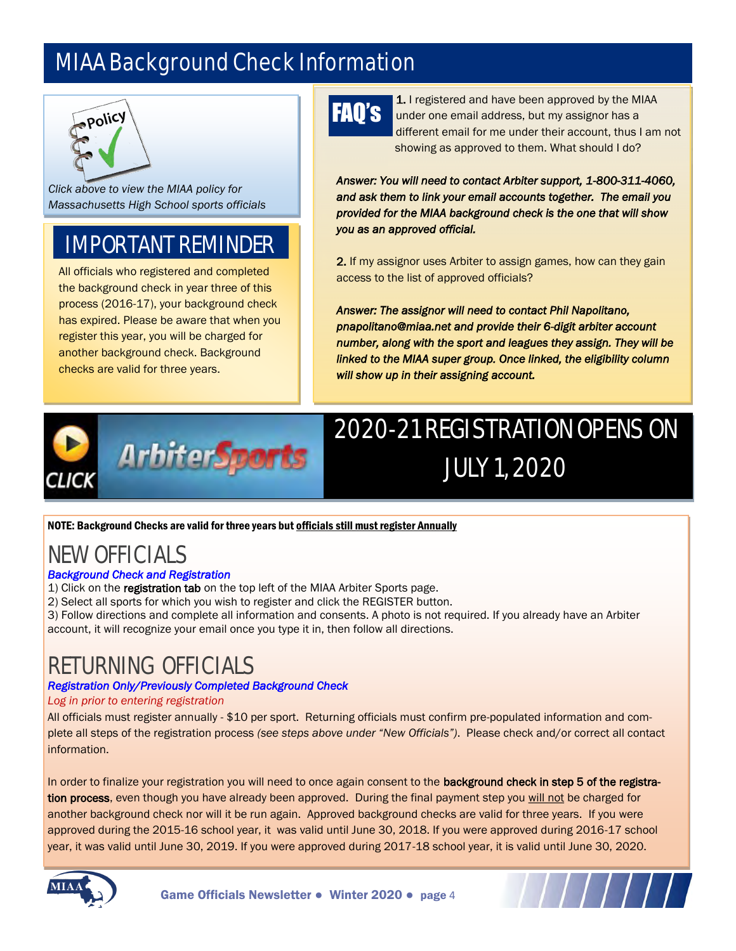### MIAA Background Check Information



*Clic[k above to view th](http://www.miaa.net/gen/miaa_generated_bin/documents/basic_module/MIAA_policy_back_check_FINAL_6115.pdf)e MIAA policy for Massachusetts High School sports officials* 

#### IMPORTANT REMINDER

All officials who registered and completed the background check in year three of this process (2016-17), your background check has expired. Please be aware that when you register this year, you will be charged for another background check. Background checks are valid for three years.



1. I registered and have been approved by the MIAA under one email address, but my assignor has a different email for me under their account, thus I am not showing as approved to them. What should I do?

*Answer: You will need to contact Arbiter support, 1-800-311-4060, and ask them to link your email accounts together. The email you provided for the MIAA background check is the one that will show you as an approved official.* 

2. If my assignor uses Arbiter to assign games, how can they gain access to the list of approved officials?

*Answer: The assignor will need to contact Phil Napolitano, pnapolitano@miaa.net and provide their 6-digit arbiter account number, along with the sport and leagues they assign. They will be linked to the MIAA super group. Once linked, the eligibility column will show up in their assigning account.*



## 2020-21 REGISTRATION OPENS ON JULY 1, 2020

NOTE: Background Checks are valid for three years but officials still must register Annually

### NEW OFFICIALS

#### *Background Check and Registration*

1) Click on the registration tab on the top left of the MIAA Arbiter Sports page.

2) Select all sports for which you wish to register and click the REGISTER button.

3) Follow directions and complete all information and consents. A photo is not required. If you already have an Arbiter account, it will recognize your email once you type it in, then follow all directions.

#### RETURNING OFFICIALS

#### *Registration Only/Previously Completed Background Check*

#### *Log in prior to entering registration*

All officials must register annually - \$10 per sport. Returning officials must confirm pre-populated information and complete all steps of the registration process *(see steps above under "New Officials")*. Please check and/or correct all contact information.

In order to finalize your registration you will need to once again consent to the background check in step 5 of the registration process, even though you have already been approved. During the final payment step you will not be charged for another background check nor will it be run again. Approved background checks are valid for three years. If you were approved during the 2015-16 school year, it was valid until June 30, 2018. If you were approved during 2016-17 school year, it was valid until June 30, 2019. If you were approved during 2017-18 school year, it is valid until June 30, 2020.



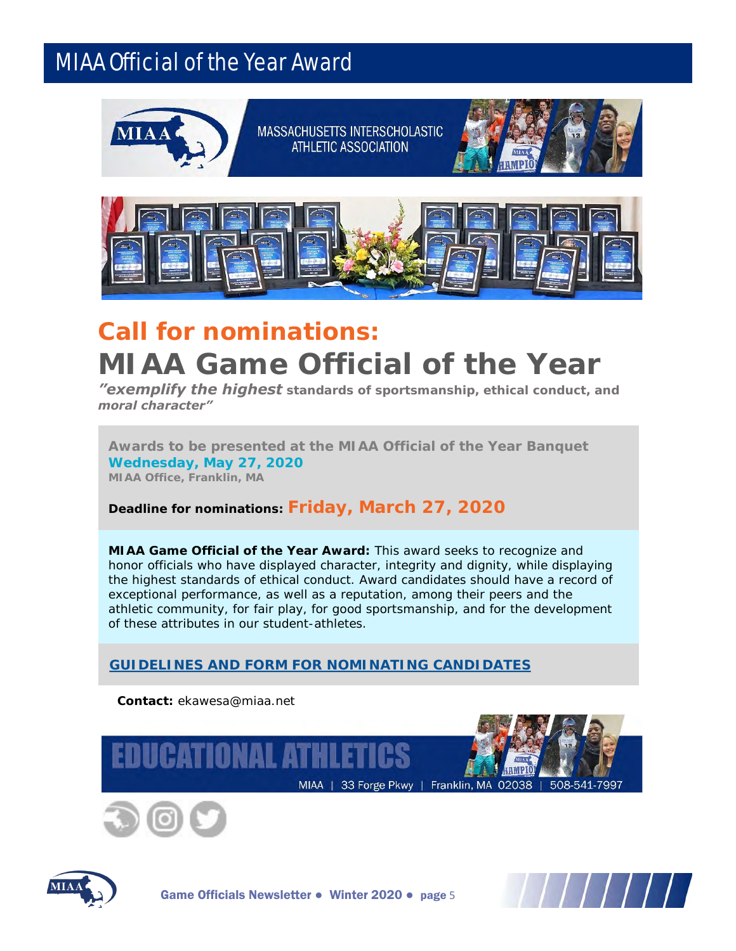### MIAA Official of the Year Award



MASSACHUSETTS INTERSCHOLASTIC **ATHLETIC ASSOCIATION** 





## *Call for nominations:* **MIAA Game Official of the Year**

*"exemplify the highest standards of sportsmanship, ethical conduct, and moral character"*

**Awards to be presented at the MIAA Official of the Year Banquet Wednesday, May 27, 2020** *MIAA Office, Franklin, MA*

**Deadline for nominations:** *Friday, March 27, 2020*

**MIAA Game Official of the Year Award:** This award seeks to recognize and honor officials who have displayed character, integrity and dignity, while displaying the highest standards of ethical conduct. Award candidates should have a record of exceptional performance, as well as a reputation, among their peers and the athletic community, for fair play, for good sportsmanship, and for the development of these attributes in our student-athletes.

**[GUIDELINES AND FORM FOR NOMINATING CANDIDATES](http://miaa.net/gen/miaa_generated_bin/documents/basic_module/officialofyearnominationform1819.pdf)**



CATIONAL AT